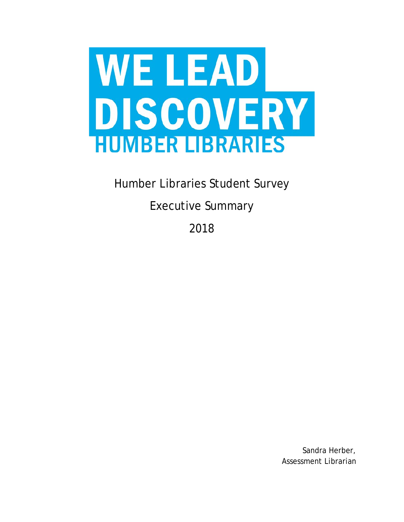

Humber Libraries Student Survey

Executive Summary

2018

Sandra Herber, Assessment Librarian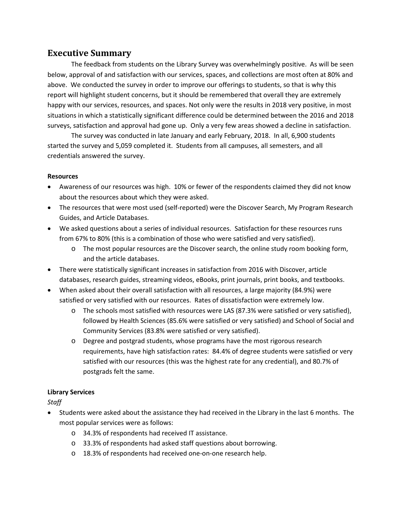# **Executive Summary**

The feedback from students on the Library Survey was overwhelmingly positive. As will be seen below, approval of and satisfaction with our services, spaces, and collections are most often at 80% and above. We conducted the survey in order to improve our offerings to students, so that is why this report will highlight student concerns, but it should be remembered that overall they are extremely happy with our services, resources, and spaces. Not only were the results in 2018 very positive, in most situations in which a statistically significant difference could be determined between the 2016 and 2018 surveys, satisfaction and approval had gone up. Only a very few areas showed a decline in satisfaction.

The survey was conducted in late January and early February, 2018. In all, 6,900 students started the survey and 5,059 completed it. Students from all campuses, all semesters, and all credentials answered the survey.

#### **Resources**

- Awareness of our resources was high. 10% or fewer of the respondents claimed they did not know about the resources about which they were asked.
- The resources that were most used (self-reported) were the Discover Search, My Program Research Guides, and Article Databases.
- We asked questions about a series of individual resources. Satisfaction for these resources runs from 67% to 80% (this is a combination of those who were satisfied and very satisfied).
	- o The most popular resources are the Discover search, the online study room booking form, and the article databases.
- There were statistically significant increases in satisfaction from 2016 with Discover, article databases, research guides, streaming videos, eBooks, print journals, print books, and textbooks.
- When asked about their overall satisfaction with all resources, a large majority (84.9%) were satisfied or very satisfied with our resources. Rates of dissatisfaction were extremely low.
	- o The schools most satisfied with resources were LAS (87.3% were satisfied or very satisfied), followed by Health Sciences (85.6% were satisfied or very satisfied) and School of Social and Community Services (83.8% were satisfied or very satisfied).
	- o Degree and postgrad students, whose programs have the most rigorous research requirements, have high satisfaction rates: 84.4% of degree students were satisfied or very satisfied with our resources (this was the highest rate for any credential), and 80.7% of postgrads felt the same.

### **Library Services**

*Staff*

- Students were asked about the assistance they had received in the Library in the last 6 months. The most popular services were as follows:
	- o 34.3% of respondents had received IT assistance.
	- o 33.3% of respondents had asked staff questions about borrowing.
	- o 18.3% of respondents had received one-on-one research help.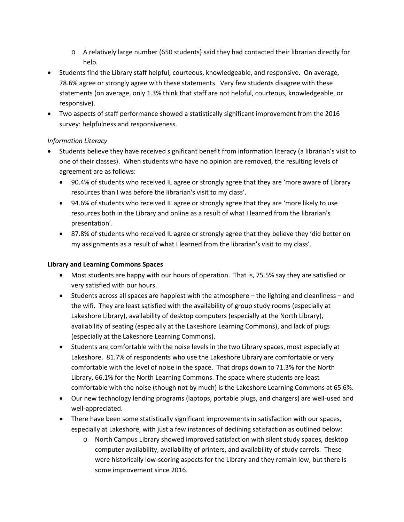- o A relatively large number (650 students) said they had contacted their librarian directly for help.
- Students find the Library staff helpful, courteous, knowledgeable, and responsive. On average, 78.6% agree or strongly agree with these statements. Very few students disagree with these statements (on average, only 1.3% think that staff are not helpful, courteous, knowledgeable, or responsive).
- Two aspects of staff performance showed a statistically significant improvement from the 2016 survey: helpfulness and responsiveness.

### *Information Literacy*

- Students believe they have received significant benefit from information literacy (a librarian's visit to one of their classes). When students who have no opinion are removed, the resulting levels of agreement are as follows:
	- 90.4% of students who received IL agree or strongly agree that they are 'more aware of Library resources than I was before the librarian's visit to my class'.
	- 94.6% of students who received IL agree or strongly agree that they are 'more likely to use resources both in the Library and online as a result of what I learned from the librarian's presentation'.
	- 87.8% of students who received IL agree or strongly agree that they believe they 'did better on my assignments as a result of what I learned from the librarian's visit to my class'.

## **Library and Learning Commons Spaces**

- Most students are happy with our hours of operation. That is, 75.5% say they are satisfied or very satisfied with our hours.
- Students across all spaces are happiest with the atmosphere the lighting and cleanliness and the wifi. They are least satisfied with the availability of group study rooms (especially at Lakeshore Library), availability of desktop computers (especially at the North Library), availability of seating (especially at the Lakeshore Learning Commons), and lack of plugs (especially at the Lakeshore Learning Commons).
- Students are comfortable with the noise levels in the two Library spaces, most especially at Lakeshore. 81.7% of respondents who use the Lakeshore Library are comfortable or very comfortable with the level of noise in the space. That drops down to 71.3% for the North Library, 66.1% for the North Learning Commons. The space where students are least comfortable with the noise (though not by much) is the Lakeshore Learning Commons at 65.6%.
- Our new technology lending programs (laptops, portable plugs, and chargers) are well-used and well-appreciated.
- There have been some statistically significant improvements in satisfaction with our spaces, especially at Lakeshore, with just a few instances of declining satisfaction as outlined below:
	- o North Campus Library showed improved satisfaction with silent study spaces, desktop computer availability, availability of printers, and availability of study carrels. These were historically low-scoring aspects for the Library and they remain low, but there is some improvement since 2016.